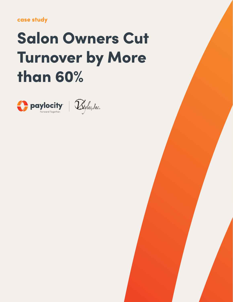case study

# Salon Owners Cut Turnover by More than 60%



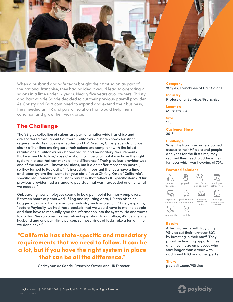

When a husband and wife team bought their first salon as part of the national franchise, they had no idea it would lead to operating 21 salons in a little under 17 years. Nearly five years ago, owners Christy and Bart van de Sande decided to cut their previous payroll provider. As Christy and Bart continued to expand and extend their business, they needed an HR and payroll solution that would help them condition and grow their workforce.

## The Challenge

The VStyles collection of salons are part of a nationwide franchise and are scattered throughout Southern California - a state known for strict requirements. As a business leader and HR Director, Christy spends a large chunk of her time making sure their salons are compliant with the latest regulations. "California has state-specific and mandatory requirements that we need to follow," says Christy. "It can be a lot, but if you have the right system in place that can make all the difference." Their previous provider was one of the most well-known solutions, but it didn't offer more than payroll, so they turned to Paylocity. "It's incredibly important that you have a time and labor system that works for your state," says Christy. One of California's specific requirements is a custom pay stub that reflects 10 specific items. "Our previous provider had a standard pay stub that was hardcoded and not what we needed."

Onboarding new employees seems to be a pain point for many employers. Between hours of paperwork, filing and inputting data, HR can often be bogged down in a higher-turnover industry such as a salon. Christy explains, "before Paylocity, we had these packets that we would have to mail to people and then have to manually type the information into the system. No one wants to do that. We run a really streamlined operation. In our office, it's just me, my husband and one part-time person, so these kinds of tasks take a ton of time we don't have."

"California has state-specific and mandatory requirements that we need to follow. It can be a lot, but if you have the right system in place that can be all the difference."

– Christy van de Sande, Franchise Owner and HR Director

**Company** VStyles, Franchisee of Hair Salons

**Industry** Professional Services/Franchise

Location Murrieta, CA

Size 140

Customer Since 2017

#### **Challenge**

When the franchise owners gained access to their HR data and people analytics for the first time, they realized they need to address their turnover which was hovering at 75%.

#### Featur[ed Solutio](https://www.paylocity.com/our-products/payroll/?utm_source=offline&utm_medium=pdf&utm_campaign=casestudy&asset=15022901a_vstyles)ns



#### **Results**

After two years with Paylocity, VStyles cut their turnover 60% by investing in their staff. They prioritize learning opportunities and incentivize employees who stay longer than a year with additional PTO and other perks.

#### **Share**

[paylocity.com/VStyles](https://www.paylocity.com/resources/resource-library/case-study/salon-owners-take-new-cut-at-improving-turnover/?utm_source=offline&utm_medium=pdf&utm_campaign=casestudy&asset=15022901a_vstyles)

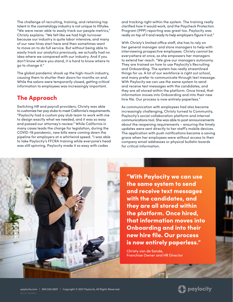The challenge of recruiting, training, and retaining top talent in the cosmetology industry is not unique to VStyles. "We were never able to easily track our people metrics," Christy explains. "We felt like we had high turnover because our industry is quite labor intensive, and many of our new hires start here and then sometimes want to move on to do full service. But without being able to easily track our analytics previously, we actually had no idea where we compared with our industry. And if you don't know where you stand, it is hard to know where to go to change it."

The global pandemic shook up the high-touch industry, causing them to shutter their doors for months on end. While the salons were temporarily closed, getting critical information to employees was increasingly important.

### The Approach

Switching HR and payroll providers, Christy was able to customize her pay stubs to meet California's requirements. "Paylocity had a custom pay stub team to work with me to design exactly what we needed, and it was so easy and passed our attorney's review." While California in many cases leads the charge for legislation, during the COVID-19 pandemic, new bills were coming down the pipeline for employers at a whirlwind speed. "I was able to take Paylocity's FFCRA training while everyone's head was still spinning. Paylocity made it so easy with codes

and tracking right within the system. The training really clarified how it would work, and the Paycheck Protection Program (PPP) reporting was great too. Paylocity was really on top of it and ready to help employers figure it out."

With Christy's limited office staff, she has to rely on her general manager and store managers to help with interviewing prospective employees. Christy cannot be everywhere at once, so she empowers her managers to extend her reach. "We give our managers autonomy. They are trained on how to use Paylocity's Recruiting and Onboarding. The system has really streamlined things for us. A lot of our workforce is right out school, and many prefer to communicate through text message. With Paylocity we can use the same system to send and receive text messages with the candidates, and they are all stored within the platform. Once hired, that information moves into Onboarding and into their new hire file. Our process is now entirely paperless."

As communication with employees had also became increasingly challenging, Christy turned to Community, Paylocity's social collaboration platform and internal communications tool. She was able to post announcements about the reopening requirements – ensuring the timely updates were sent directly to her staff's mobile devices. The application with push notifications became a saving grace when her employees were without access to their company email addresses or physical bulletin boards for critical information.



"With Paylocity we can use the same system to send and receive text messages with the candidates, and they are all stored within the platform. Once hired, that information moves into Onboarding and into their new hire file. Our process is now entirely paperless."

Christy van de Sande, Franchise Owner and HR Director

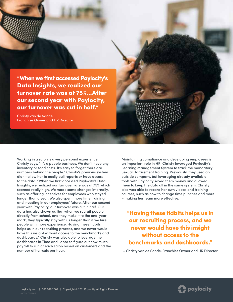"When we first accessed Paylocity's Data Insights, we realized our turnover rate was at 75%...After our second year with Paylocity, our turnover was cut in half." Christy van de Sande, Franchise Owner and HR Director

Working in a salon is a very personal experience. Christy says, "It's a people business. We don't have any inventory or food costs. It's easy to forget there are numbers behind the people." Christy's previous system didn't allow her to easily pull reports or have access to the data. "When we first accessed Paylocity's Data Insights, we realized our turnover rate was at 75% which seemed really high. We made some changes internally, such as offering incentives for employees who stayed longer than a year. We also spent more time training and investing in our employees' future. After our second year with Paylocity, our turnover was cut in half. Our data has also shown us that when we recruit people directly from school, and they make it to the one-year mark, they typically stay with us longer than if we hire people with more experience. Having these tidbits helps us in our recruiting process, and we never would have this insight without access to the benchmarks and dashboards." Christy was also able to leverage the dashboards in Time and Labor to figure out how much payroll to run at each salon based on customers and the number of haircuts per hour.

Maintaining compliance and developing employees is an important role in HR. Christy leveraged Paylocity's Learning Management System to track the mandatory Sexual Harassment training. Previously, they used an outside company, but leveraging already available tools with Paylocity saved them money and allowed them to keep the data all in the same system. Christy also was able to record her own videos and training courses, such as how to change time punches and more – making her team more effective.

"Having these tidbits helps us in our recruiting process, and we never would have this insight without access to the benchmarks and dashboards."

– Christy van de Sande, Franchise Owner and HR Director